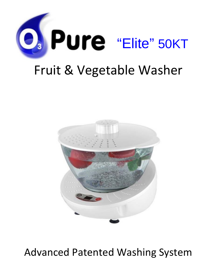



# Advanced Patented Washing System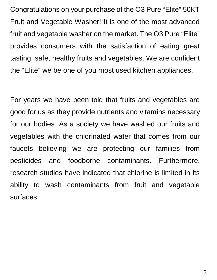Congratulations on your purchase of the O3 Pure "Elite" 50KT Fruit and Vegetable Washer! It is one of the most advanced fruit and vegetable washer on the market. The O3 Pure "Elite" provides consumers with the satisfaction of eating great tasting, safe, healthy fruits and vegetables. We are confident the "Elite" we be one of you most used kitchen appliances.

For years we have been told that fruits and vegetables are good for us as they provide nutrients and vitamins necessary for our bodies. As a society we have washed our fruits and vegetables with the chlorinated water that comes from our faucets believing we are protecting our families from pesticides and foodborne contaminants. Furthermore, research studies have indicated that chlorine is limited in its ability to wash contaminants from fruit and vegetable surfaces.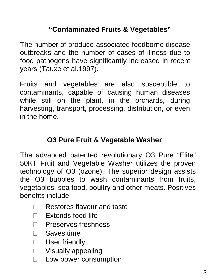# **"Contaminated Fruits & Vegetables"**

The number of produce-associated foodborne disease outbreaks and the number of cases of illness due to food pathogens have significantly increased in recent years (Tauxe et al.1997).

Fruits and vegetables are also susceptible to contaminants, capable of causing human diseases while still on the plant, in the orchards, during harvesting, transport, processing, distribution, or even in the home.

### **O3 Pure Fruit & Vegetable Washer**

The advanced patented revolutionary O3 Pure "Elite" 50KT Fruit and Vegetable Washer utilizes the proven technology of O3 (ozone). The superior design assists the O3 bubbles to wash contaminants from fruits, vegetables, sea food, poultry and other meats. Positives benefits include:

- □ Restores flavour and taste
- $\Box$  Extends food life
- □ Preserves freshness
- □ Saves time

.

- □ User friendly
- □ Visually appealing
- $\Box$  Low power consumption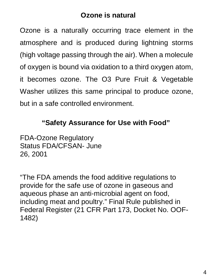#### **Ozone is natural**

Ozone is a naturally occurring trace element in the atmosphere and is produced during lightning storms (high voltage passing through the air). When a molecule of oxygen is bound via oxidation to a third oxygen atom, it becomes ozone. The O3 Pure Fruit & Vegetable Washer utilizes this same principal to produce ozone, but in a safe controlled environment.

### **"Safety Assurance for Use with Food"**

FDA-Ozone Regulatory Status FDA/CFSAN- June 26, 2001

"The FDA amends the food additive regulations to provide for the safe use of ozone in gaseous and aqueous phase an anti-microbial agent on food, including meat and poultry." Final Rule published in Federal Register (21 CFR Part 173, Docket No. OOF-1482)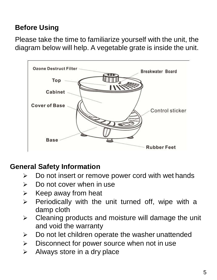# **Before Using**

Please take the time to familiarize yourself with the unit, the diagram below will help. A vegetable grate is inside the unit.



# **General Safety Information**

- $\triangleright$  Do not insert or remove power cord with wet hands
- $\triangleright$  Do not cover when in use
- $\triangleright$  Keep away from heat
- $\triangleright$  Periodically with the unit turned off, wipe with a damp cloth
- $\triangleright$  Cleaning products and moisture will damage the unit and void the warranty
- $\triangleright$  Do not let children operate the washer unattended
- $\triangleright$  Disconnect for power source when not in use
- $\triangleright$  Always store in a dry place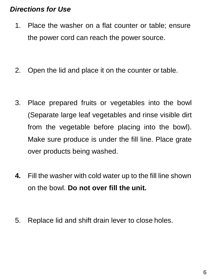### *Directions for Use*

- 1. Place the washer on a flat counter or table; ensure the power cord can reach the power source.
- 2. Open the lid and place it on the counter or table.
- 3. Place prepared fruits or vegetables into the bowl (Separate large leaf vegetables and rinse visible dirt from the vegetable before placing into the bowl). Make sure produce is under the fill line. Place grate over products being washed.
- **4.** Fill the washer with cold water up to the fill line shown on the bowl. **Do not over fill the unit.**
- 5. Replace lid and shift drain lever to close holes.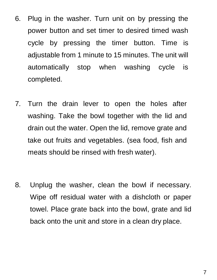- 6. Plug in the washer. Turn unit on by pressing the power button and set timer to desired timed wash cycle by pressing the timer button. Time is adjustable from 1 minute to 15 minutes. The unit will automatically stop when washing cycle is completed.
- 7. Turn the drain lever to open the holes after washing. Take the bowl together with the lid and drain out the water. Open the lid, remove grate and take out fruits and vegetables. (sea food, fish and meats should be rinsed with fresh water).
- 8. Unplug the washer, clean the bowl if necessary. Wipe off residual water with a dishcloth or paper towel. Place grate back into the bowl, grate and lid back onto the unit and store in a clean dry place.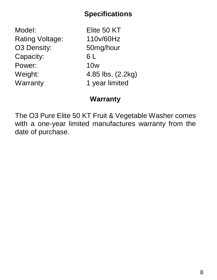### **Specifications**

Model: Elite 50 KT Rating Voltage: 110v/60Hz O3 Density: 50mg/hour Capacity: 6 L Power: 10w Weight: 4.85 lbs. (2.2kg) Warranty 1 year limited

# **Warranty**

The O3 Pure Elite 50 KT Fruit & Vegetable Washer comes with a one-year limited manufactures warranty from the date of purchase.